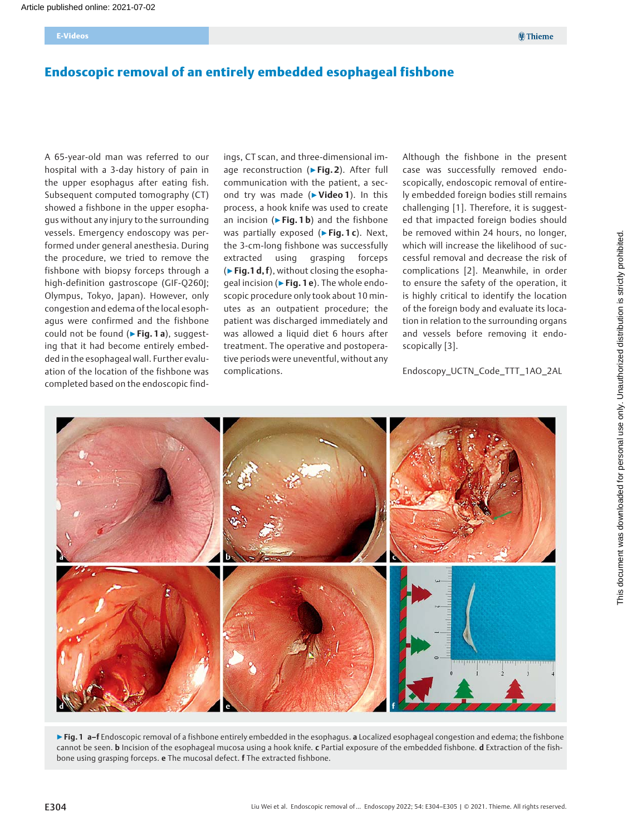# Endoscopic removal of an entirely embedded esophageal fishbone

A 65-year-old man was referred to our hospital with a 3-day history of pain in the upper esophagus after eating fish. Subsequent computed tomography (CT) showed a fishbone in the upper esophagus without any injury to the surrounding vessels. Emergency endoscopy was performed under general anesthesia. During the procedure, we tried to remove the fishbone with biopsy forceps through a high-definition gastroscope (GIF-Q260J; Olympus, Tokyo, Japan). However, only congestion and edema of the local esophagus were confirmed and the fishbone could not be found ( $\triangleright$  Fig. 1 a), suggesting that it had become entirely embedded in the esophageal wall. Further evaluation of the location of the fishbone was completed based on the endoscopic findings, CT scan, and three-dimensional image reconstruction (▶Fig. 2). After full communication with the patient, a second try was made (▶Video 1). In this process, a hook knife was used to create an incision ( $\triangleright$  Fig. 1b) and the fishbone was partially exposed ( $\triangleright$  Fig. 1 c). Next, the 3-cm-long fishbone was successfully extracted using grasping forceps  $(\triangleright$  Fig.1 d, f), without closing the esophageal incision (► Fig. 1 e). The whole endoscopic procedure only took about 10 minutes as an outpatient procedure; the patient was discharged immediately and was allowed a liquid diet 6 hours after treatment. The operative and postoperative periods were uneventful, without any complications.

Although the fishbone in the present case was successfully removed endoscopically, endoscopic removal of entirely embedded foreign bodies still remains challenging [1]. Therefore, it is suggested that impacted foreign bodies should be removed within 24 hours, no longer, which will increase the likelihood of successful removal and decrease the risk of complications [2]. Meanwhile, in order to ensure the safety of the operation, it is highly critical to identify the location of the foreign body and evaluate its location in relation to the surrounding organs and vessels before removing it endoscopically [3].

Endoscopy\_UCTN\_Code\_TTT\_1AO\_2AL



▶ Fig. 1 a-f Endoscopic removal of a fishbone entirely embedded in the esophagus. a Localized esophageal congestion and edema; the fishbone cannot be seen. b Incision of the esophageal mucosa using a hook knife. c Partial exposure of the embedded fishbone. d Extraction of the fishbone using grasping forceps. e The mucosal defect. f The extracted fishbone.